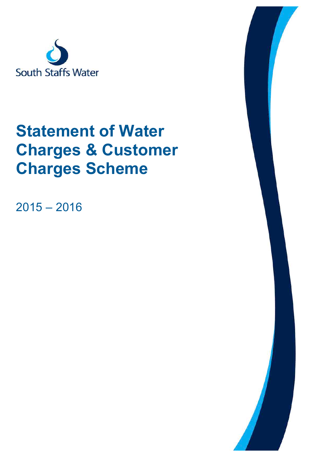

# **Statement of Water Charges & Customer Charges Scheme**

 $2015 - 2016$ 

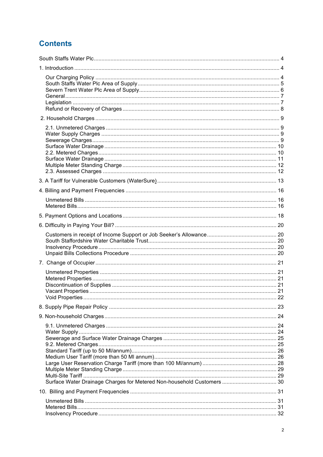# **Contents**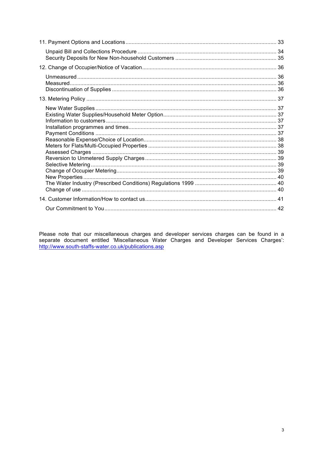Please note that our miscellaneous charges and developer services charges can be found in a separate document entitled 'Miscellaneous Water Charges and Developer Services Charges': http://www.south-staffs-water.co.uk/publi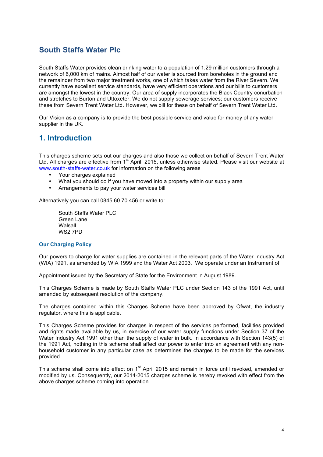### **South Staffs Water Plc**

South Staffs Water provides clean drinking water to a population of 1.29 million customers through a network of 6,000 km of mains. Almost half of our water is sourced from boreholes in the ground and the remainder from two major treatment works, one of which takes water from the River Severn. We currently have excellent service standards, have very efficient operations and our bills to customers are amongst the lowest in the country. Our area of supply incorporates the Black Country conurbation and stretches to Burton and Uttoxeter. We do not supply sewerage services; our customers receive these from Severn Trent Water Ltd. However, we bill for these on behalf of Severn Trent Water Ltd.

Our Vision as a company is to provide the best possible service and value for money of any water supplier in the UK.

### **1. Introduction**

This charges scheme sets out our charges and also those we collect on behalf of Severn Trent Water Ltd. All charges are effective from 1<sup>st</sup> April, 2015, unless otherwise stated. Please visit our website at www.south-staffs-water.co.uk for information on the following areas

- Your charges explained
- What you should do if you have moved into a property within our supply area
- Arrangements to pay your water services bill

Alternatively you can call 0845 60 70 456 or write to:

South Staffs Water PLC Green Lane Walsall WS2 7PD

#### **Our Charging Policy**

Our powers to charge for water supplies are contained in the relevant parts of the Water Industry Act (WIA) 1991, as amended by WIA 1999 and the Water Act 2003. We operate under an Instrument of

Appointment issued by the Secretary of State for the Environment in August 1989.

This Charges Scheme is made by South Staffs Water PLC under Section 143 of the 1991 Act, until amended by subsequent resolution of the company.

The charges contained within this Charges Scheme have been approved by Ofwat, the industry regulator, where this is applicable.

This Charges Scheme provides for charges in respect of the services performed, facilities provided and rights made available by us, in exercise of our water supply functions under Section 37 of the Water Industry Act 1991 other than the supply of water in bulk. In accordance with Section 143(5) of the 1991 Act, nothing in this scheme shall affect our power to enter into an agreement with any nonhousehold customer in any particular case as determines the charges to be made for the services provided.

This scheme shall come into effect on 1<sup>st</sup> April 2015 and remain in force until revoked, amended or modified by us. Consequently, our 2014-2015 charges scheme is hereby revoked with effect from the above charges scheme coming into operation.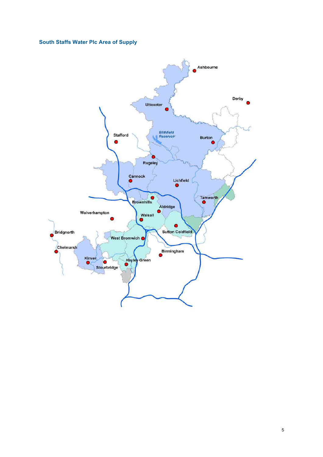#### **South Staffs Water Plc Area of Supply**

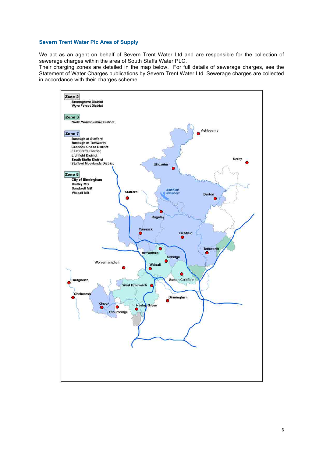#### **Severn Trent Water Plc Area of Supply**

We act as an agent on behalf of Severn Trent Water Ltd and are responsible for the collection of sewerage charges within the area of South Staffs Water PLC.

Their charging zones are detailed in the map below. For full details of sewerage charges, see the Statement of Water Charges publications by Severn Trent Water Ltd. Sewerage charges are collected in accordance with their charges scheme.

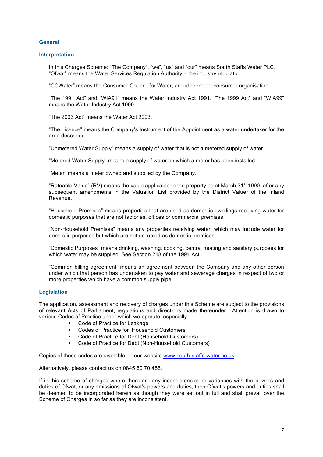#### **General**

#### **Interpretation**

In this Charges Scheme: "The Company", "we", "us" and "our" means South Staffs Water PLC. "Ofwat" means the Water Services Regulation Authority – the industry regulator.

"CCWater" means the Consumer Council for Water, an independent consumer organisation.

"The 1991 Act" and "WIA91" means the Water Industry Act 1991. "The 1999 Act" and "WIA99" means the Water Industry Act 1999.

"The 2003 Act" means the Water Act 2003.

"The Licence" means the Company's Instrument of the Appointment as a water undertaker for the area described.

"Unmetered Water Supply" means a supply of water that is not a metered supply of water.

"Metered Water Supply" means a supply of water on which a meter has been installed.

"Meter" means a meter owned and supplied by the Company.

"Rateable Value" (RV) means the value applicable to the property as at March 31 $^{\rm st}$  1990, after any subsequent amendments in the Valuation List provided by the District Valuer of the Inland Revenue.

"Household Premises" means properties that are used as domestic dwellings receiving water for domestic purposes that are not factories, offices or commercial premises.

"Non-Household Premises" means any properties receiving water, which may include water for domestic purposes but which are not occupied as domestic premises.

"Domestic Purposes" means drinking, washing, cooking, central heating and sanitary purposes for which water may be supplied. See Section 218 of the 1991 Act.

"Common billing agreement" means an agreement between the Company and any other person under which that person has undertaken to pay water and sewerage charges in respect of two or more properties which have a common supply pipe.

#### **Legislation**

The application, assessment and recovery of charges under this Scheme are subject to the provisions of relevant Acts of Parliament, regulations and directions made thereunder. Attention is drawn to various Codes of Practice under which we operate, especially:

- Code of Practice for Leakage<br>• Codes of Practice for Househ
- Codes of Practice for Household Customers
- Code of Practice for Debt (Household Customers)
- Code of Practice for Debt (Non-Household Customers)

Copies of these codes are available on our website www.south-staffs-water.co.uk.

Alternatively, please contact us on 0845 60 70 456.

If in this scheme of charges where there are any inconsistencies or variances with the powers and duties of Ofwat, or any omissions of Ofwat's powers and duties, then Ofwat's powers and duties shall be deemed to be incorporated herein as though they were set out in full and shall prevail over the Scheme of Charges in so far as they are inconsistent.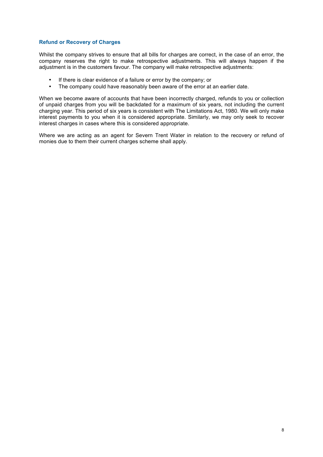#### **Refund or Recovery of Charges**

Whilst the company strives to ensure that all bills for charges are correct, in the case of an error, the company reserves the right to make retrospective adjustments. This will always happen if the adjustment is in the customers favour. The company will make retrospective adjustments:

- If there is clear evidence of a failure or error by the company; or<br>• The company could have reasonably been aware of the error at
- The company could have reasonably been aware of the error at an earlier date.

When we become aware of accounts that have been incorrectly charged, refunds to you or collection of unpaid charges from you will be backdated for a maximum of six years, not including the current charging year. This period of six years is consistent with The Limitations Act, 1980. We will only make interest payments to you when it is considered appropriate. Similarly, we may only seek to recover interest charges in cases where this is considered appropriate.

Where we are acting as an agent for Severn Trent Water in relation to the recovery or refund of monies due to them their current charges scheme shall apply.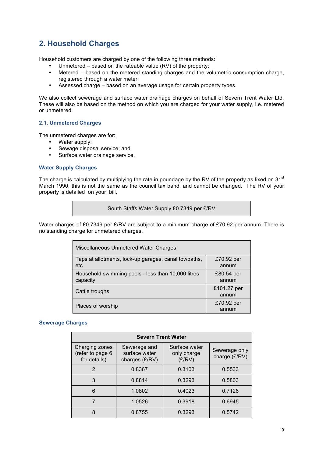# **2. Household Charges**

Household customers are charged by one of the following three methods:

- Unmetered based on the rateable value (RV) of the property;
- Metered based on the metered standing charges and the volumetric consumption charge, registered through a water meter;
- Assessed charge based on an average usage for certain property types.

We also collect sewerage and surface water drainage charges on behalf of Severn Trent Water Ltd. These will also be based on the method on which you are charged for your water supply, i.e. metered or unmetered.

#### **2.1. Unmetered Charges**

The unmetered charges are for:

- Water supply;
- Sewage disposal service; and
- Surface water drainage service.

#### **Water Supply Charges**

The charge is calculated by multiplying the rate in poundage by the RV of the property as fixed on 31 $\mathrm{^{st}}$ March 1990, this is not the same as the council tax band, and cannot be changed. The RV of your property is detailed on your bill.

South Staffs Water Supply £0.7349 per £/RV

Water charges of £0.7349 per £/RV are subject to a minimum charge of £70.92 per annum. There is no standing charge for unmetered charges.

| Miscellaneous Unmetered Water Charges                          |                      |
|----------------------------------------------------------------|----------------------|
| Taps at allotments, lock-up garages, canal towpaths,<br>etc    | £70.92 per<br>annum  |
| Household swimming pools - less than 10,000 litres<br>capacity | £80.54 per<br>annum  |
| Cattle troughs                                                 | £101.27 per<br>annum |
| Places of worship                                              | £70.92 per<br>annum  |

#### **Sewerage Charges**

| <b>Severn Trent Water</b>                          |                                                 |                                        |                                |  |
|----------------------------------------------------|-------------------------------------------------|----------------------------------------|--------------------------------|--|
| Charging zones<br>(refer to page 6<br>for details) | Sewerage and<br>surface water<br>charges (£/RV) | Surface water<br>only charge<br>(E/RV) | Sewerage only<br>charge (£/RV) |  |
| $\overline{2}$                                     | 0.8367                                          | 0.3103                                 | 0.5533                         |  |
| 3                                                  | 0.8814                                          | 0.3293                                 | 0.5803                         |  |
| 6                                                  | 1.0802                                          | 0.4023                                 | 0.7126                         |  |
|                                                    | 1.0526                                          | 0.3918                                 | 0.6945                         |  |
| Զ                                                  | 0.8755                                          | 0.3293                                 | 0.5742                         |  |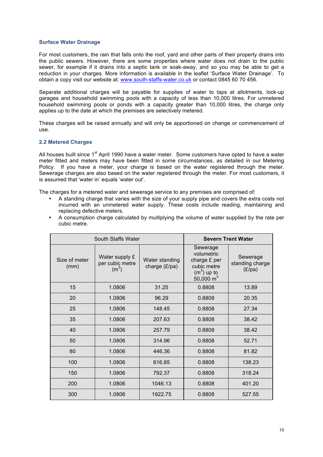#### **Surface Water Drainage**

For most customers, the rain that falls onto the roof, yard and other parts of their property drains into the public sewers. However, there are some properties where water does not drain to the public sewer, for example if it drains into a septic tank or soak-away, and so you may be able to get a reduction in your charges. More information is available in the leaflet 'Surface Water Drainage'. To obtain a copy visit our website at: www.south-staffs-water.co.uk or contact 0845 60 70 456.

Separate additional charges will be payable for supplies of water to taps at allotments, lock-up garages and household swimming pools with a capacity of less than 10,000 litres. For unmetered household swimming pools or ponds with a capacity greater than 10,000 litres, the charge only applies up to the date at which the premises are selectively metered.

These charges will be raised annually and will only be apportioned on change or commencement of use.

#### **2.2 Metered Charges**

All houses built since 1<sup>st</sup> April 1990 have a water meter. Some customers have opted to have a water meter fitted and meters may have been fitted in some circumstances, as detailed in our Metering Policy. If you have a meter, your charge is based on the water registered through the meter. Sewerage charges are also based on the water registered through the meter. For most customers, it is assumed that 'water in' equals 'water out'.

The charges for a metered water and sewerage service to any premises are comprised of:

- A standing charge that varies with the size of your supply pipe and covers the extra costs not incurred with an unmetered water supply. These costs include reading, maintaining and replacing defective meters.
- A consumption charge calculated by multiplying the volume of water supplied by the rate per cubic metre.

| South Staffs Water    |                                              |                                 |                                                                                               | <b>Severn Trent Water</b>             |
|-----------------------|----------------------------------------------|---------------------------------|-----------------------------------------------------------------------------------------------|---------------------------------------|
| Size of meter<br>(mm) | Water supply £<br>per cubic metre<br>$(m^3)$ | Water standing<br>charge (£/pa) | Sewerage<br>volumetric<br>charge £ per<br>cubic metre<br>$(m3)$ up to<br>$50,000 \text{ m}^3$ | Sewerage<br>standing charge<br>(E/pa) |
| 15                    | 1.0806                                       | 31.25                           | 0.8808                                                                                        | 13.89                                 |
| 20                    | 1.0806                                       | 96.29                           | 0.8808                                                                                        | 20.35                                 |
| 25                    | 1.0806                                       | 148.45                          | 0.8808                                                                                        | 27.34                                 |
| 35                    | 1.0806                                       | 207.63                          | 0.8808                                                                                        | 38.42                                 |
| 40                    | 1.0806                                       | 257.79                          | 0.8808                                                                                        | 38.42                                 |
| 50                    | 1.0806                                       | 314.96                          | 0.8808                                                                                        | 52.71                                 |
| 80                    | 1.0806                                       | 446.36                          | 0.8808                                                                                        | 81.82                                 |
| 100                   | 1.0806                                       | 616.85                          | 0.8808                                                                                        | 138.23                                |
| 150                   | 1.0806                                       | 792.37                          | 0.8808                                                                                        | 318.24                                |
| 200                   | 1.0806                                       | 1046.13                         | 0.8808                                                                                        | 401.20                                |
| 300                   | 1.0806                                       | 1922.75                         | 0.8808                                                                                        | 527.55                                |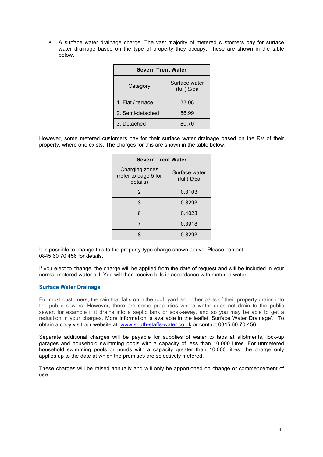• A surface water drainage charge. The vast majority of metered customers pay for surface water drainage based on the type of property they occupy. These are shown in the table below.

| <b>Severn Trent Water</b> |                              |  |  |
|---------------------------|------------------------------|--|--|
| Category                  | Surface water<br>(full) £/pa |  |  |
| 1. Flat / terrace         | 33.08                        |  |  |
| 2. Semi-detached          | 56.99                        |  |  |
| 3. Detached<br>80.70      |                              |  |  |

However, some metered customers pay for their surface water drainage based on the RV of their property, where one exists. The charges for this are shown in the table below:

| <b>Severn Trent Water</b>                          |                              |  |  |  |
|----------------------------------------------------|------------------------------|--|--|--|
| Charging zones<br>(refer to page 5 for<br>details) | Surface water<br>(full) £/pa |  |  |  |
| 2                                                  | 0.3103                       |  |  |  |
| 3                                                  | 0.3293                       |  |  |  |
| 6                                                  | 0.4023                       |  |  |  |
|                                                    | 0.3918                       |  |  |  |
|                                                    | 0.3293                       |  |  |  |

It is possible to change this to the property-type charge shown above. Please contact 0845 60 70 456 for details.

If you elect to change, the charge will be applied from the date of request and will be included in your normal metered water bill. You will then receive bills in accordance with metered water.

#### **Surface Water Drainage**

For most customers, the rain that falls onto the roof, yard and other parts of their property drains into the public sewers. However, there are some properties where water does not drain to the public sewer, for example if it drains into a septic tank or soak-away, and so you may be able to get a reduction in your charges. More information is available in the leaflet 'Surface Water Drainage'. To obtain a copy visit our website at: www.south-staffs-water.co.uk or contact 0845 60 70 456.

Separate additional charges will be payable for supplies of water to taps at allotments, lock-up garages and household swimming pools with a capacity of less than 10,000 litres. For unmetered household swimming pools or ponds with a capacity greater than 10,000 litres, the charge only applies up to the date at which the premises are selectively metered.

These charges will be raised annually and will only be apportioned on change or commencement of use.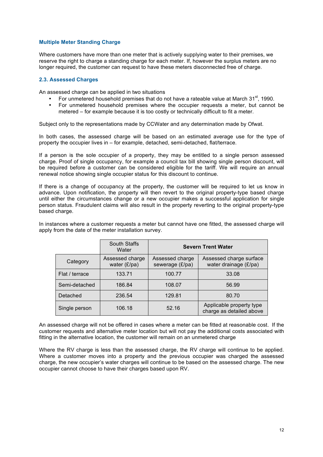#### **Multiple Meter Standing Charge**

Where customers have more than one meter that is actively supplying water to their premises, we reserve the right to charge a standing charge for each meter. If, however the surplus meters are no longer required, the customer can request to have these meters disconnected free of charge.

#### **2.3. Assessed Charges**

An assessed charge can be applied in two situations

- For unmetered household premises that do not have a rateable value at March  $31<sup>st</sup>$ , 1990.
- For unmetered household premises where the occupier requests a meter, but cannot be metered – for example because it is too costly or technically difficult to fit a meter.

Subject only to the representations made by CCWater and any determination made by Ofwat.

In both cases, the assessed charge will be based on an estimated average use for the type of property the occupier lives in – for example, detached, semi-detached, flat/terrace.

If a person is the sole occupier of a property, they may be entitled to a single person assessed charge. Proof of single occupancy, for example a council tax bill showing single person discount, will be required before a customer can be considered eligible for the tariff. We will require an annual renewal notice showing single occupier status for this discount to continue.

If there is a change of occupancy at the property, the customer will be required to let us know in advance. Upon notification, the property will then revert to the original property-type based charge until either the circumstances change or a new occupier makes a successful application for single person status. Fraudulent claims will also result in the property reverting to the original property-type based charge.

In instances where a customer requests a meter but cannot have one fitted, the assessed charge will apply from the date of the meter installation survey.

|                | <b>South Staffs</b><br>Water      | <b>Severn Trent Water</b>          |                                                      |  |
|----------------|-----------------------------------|------------------------------------|------------------------------------------------------|--|
| Category       | Assessed charge<br>water $(E/pa)$ | Assessed charge<br>sewerage (£/pa) | Assessed charge surface<br>water drainage (£/pa)     |  |
| Flat / terrace | 133.71                            | 100.77                             | 33.08                                                |  |
| Semi-detached  | 186.84                            | 108.07                             | 56.99                                                |  |
| Detached       | 236.54                            | 129.81                             | 80.70                                                |  |
| Single person  | 106.18                            | 52.16                              | Applicable property type<br>charge as detailed above |  |

An assessed charge will not be offered in cases where a meter can be fitted at reasonable cost. If the customer requests and alternative meter location but will not pay the additional costs associated with fitting in the alternative location, the customer will remain on an unmetered charge

Where the RV charge is less than the assessed charge, the RV charge will continue to be applied. Where a customer moves into a property and the previous occupier was charged the assessed charge, the new occupier's water charges will continue to be based on the assessed charge. The new occupier cannot choose to have their charges based upon RV.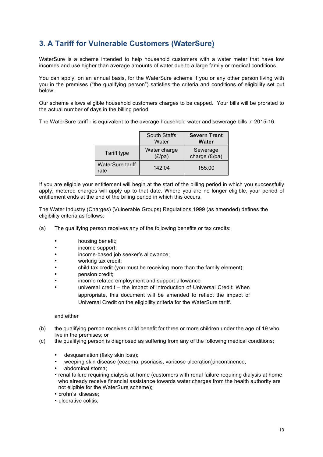# **3. A Tariff for Vulnerable Customers (WaterSure)**

WaterSure is a scheme intended to help household customers with a water meter that have low incomes and use higher than average amounts of water due to a large family or medical conditions.

You can apply, on an annual basis, for the WaterSure scheme if you or any other person living with you in the premises ("the qualifying person") satisfies the criteria and conditions of eligibility set out below.

Our scheme allows eligible household customers charges to be capped. Your bills will be prorated to the actual number of days in the billing period

The WaterSure tariff - is equivalent to the average household water and sewerage bills in 2015-16.

|                          | <b>South Staffs</b><br>Water | <b>Severn Trent</b><br>Water |
|--------------------------|------------------------------|------------------------------|
| Tariff type              | Water charge<br>(E/pa)       | Sewerage<br>charge (£/pa)    |
| WaterSure tariff<br>rate | 142.04                       | 155.00                       |

If you are eligible your entitlement will begin at the start of the billing period in which you successfully apply, metered charges will apply up to that date. Where you are no longer eligible, your period of entitlement ends at the end of the billing period in which this occurs.

The Water Industry (Charges) (Vulnerable Groups) Regulations 1999 (as amended) defines the eligibility criteria as follows:

- (a) The qualifying person receives any of the following benefits or tax credits:
	- housing benefit;<br>• income support:
	- income support:
	- income-based job seeker's allowance;
	- working tax credit;
	- child tax credit (you must be receiving more than the family element);
	- pension credit;
	- income related employment and support allowance
	- universal credit the impact of introduction of Universal Credit: When appropriate, this document will be amended to reflect the impact of Universal Credit on the eligibility criteria for the WaterSure tariff.

#### and either

- (b) the qualifying person receives child benefit for three or more children under the age of 19 who live in the premises; or
- (c) the qualifying person is diagnosed as suffering from any of the following medical conditions:
	- desquamation (flaky skin loss);
	- weeping skin disease (eczema, psoriasis, varicose ulceration);incontinence;
	- abdominal stoma;
	- renal failure requiring dialysis at home (customers with renal failure requiring dialysis at home who already receive financial assistance towards water charges from the health authority are not eligible for the WaterSure scheme);
	- crohn's disease;
	- ulcerative colitis;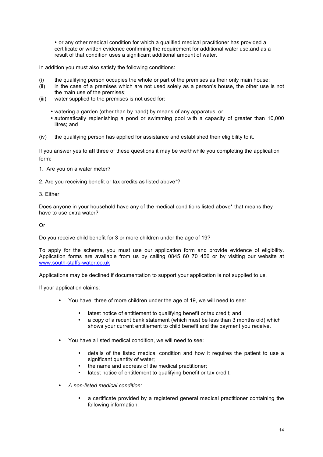• or any other medical condition for which a qualified medical practitioner has provided a certificate or written evidence confirming the requirement for additional water use.and as a result of that condition uses a significant additional amount of water.

In addition you must also satisfy the following conditions:

- (i) the qualifying person occupies the whole or part of the premises as their only main house;
- (ii) in the case of a premises which are not used solely as a person's house, the other use is not the main use of the premises;
- (iii) water supplied to the premises is not used for:
	- watering a garden (other than by hand) by means of any apparatus; or
	- automatically replenishing a pond or swimming pool with a capacity of greater than 10,000 litres; and
- (iv) the qualifying person has applied for assistance and established their eligibility to it.

If you answer yes to **all** three of these questions it may be worthwhile you completing the application form:

1. Are you on a water meter?

2. Are you receiving benefit or tax credits as listed above\*?

3. Either:

Does anyone in your household have any of the medical conditions listed above\* that means they have to use extra water?

Or

Do you receive child benefit for 3 or more children under the age of 19?

To apply for the scheme, you must use our application form and provide evidence of eligibility. Application forms are available from us by calling 0845 60 70 456 or by visiting our website at www.south-staffs-water.co.uk

Applications may be declined if documentation to support your application is not supplied to us.

If your application claims:

- You have three of more children under the age of 19, we will need to see:
	- latest notice of entitlement to qualifying benefit or tax credit; and
	- a copy of a recent bank statement (which must be less than 3 months old) which shows your current entitlement to child benefit and the payment you receive.
- You have a listed medical condition, we will need to see:
	- details of the listed medical condition and how it requires the patient to use a significant quantity of water;
	- the name and address of the medical practitioner:
	- latest notice of entitlement to qualifying benefit or tax credit.
- *A non-listed medical condition:* 
	- a certificate provided by a registered general medical practitioner containing the following information: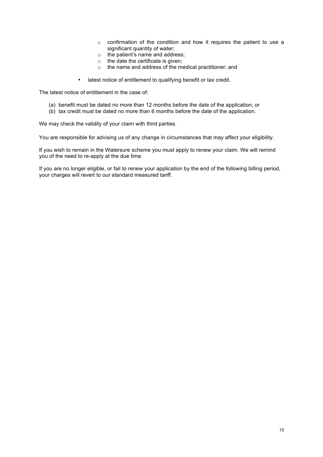- o confirmation of the condition and how it requires the patient to use a significant quantity of water;
- o the patient's name and address;
- $\circ$  the date the certificate is given;
- o the name and address of the medical practitioner; and
- latest notice of entitlement to qualifying benefit or tax credit.

The latest notice of entitlement in the case of:

- (a) benefit must be dated no more than 12 months before the date of the application; or
- (b) tax credit must be dated no more than 6 months before the date of the application.

We may check the validity of your claim with third parties.

You are responsible for advising us of any change in circumstances that may affect your eligibility.

If you wish to remain in the Watersure scheme you must apply to renew your claim. We will remind you of the need to re-apply at the due time.

If you are no longer eligible, or fail to renew your application by the end of the following billing period, your charges will revert to our standard measured tariff.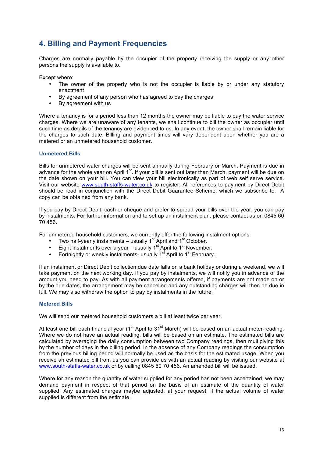### **4. Billing and Payment Frequencies**

Charges are normally payable by the occupier of the property receiving the supply or any other persons the supply is available to.

Except where:

- The owner of the property who is not the occupier is liable by or under any statutory enactment
- By agreement of any person who has agreed to pay the charges
- By agreement with us

Where a tenancy is for a period less than 12 months the owner may be liable to pay the water service charges. Where we are unaware of any tenants, we shall continue to bill the owner as occupier until such time as details of the tenancy are evidenced to us. In any event, the owner shall remain liable for the charges to such date. Billing and payment times will vary dependent upon whether you are a metered or an unmetered household customer.

#### **Unmetered Bills**

Bills for unmetered water charges will be sent annually during February or March. Payment is due in advance for the whole year on April 1<sup>st</sup>. If your bill is sent out later than March, payment will be due on the date shown on your bill. You can view your bill electronically as part of web self serve service. Visit our website www.south-staffs-water.co.uk to register. All references to payment by Direct Debit should be read in conjunction with the Direct Debit Guarantee Scheme, which we subscribe to. A copy can be obtained from any bank.

If you pay by Direct Debit, cash or cheque and prefer to spread your bills over the year, you can pay by instalments. For further information and to set up an instalment plan, please contact us on 0845 60 70 456.

For unmetered household customers, we currently offer the following instalment options:

- Two half-yearly instalments usually  $1^{\text{st}}$  April and  $1^{\text{st}}$  October.<br>• Fight instalments over a vear usually  $1^{\text{st}}$  April to  $1^{\text{st}}$  November
- Eight instalments over a year usually  $1<sup>st</sup>$  April to  $1<sup>st</sup>$  November.
- Fortnightly or weekly instalments- usually 1<sup>st</sup> April to 1<sup>st</sup> February.

If an instalment or Direct Debit collection due date falls on a bank holiday or during a weekend, we will take payment on the next working day. If you pay by instalments, we will notify you in advance of the amount you need to pay. As with all payment arrangements offered, if payments are not made on or by the due dates, the arrangement may be cancelled and any outstanding charges will then be due in full. We may also withdraw the option to pay by instalments in the future.

#### **Metered Bills**

We will send our metered household customers a bill at least twice per year.

At least one bill each financial year ( $1<sup>st</sup>$  April to  $31<sup>st</sup>$  March) will be based on an actual meter reading. Where we do not have an actual reading, bills will be based on an estimate. The estimated bills are calculated by averaging the daily consumption between two Company readings, then multiplying this by the number of days in the billing period. In the absence of any Company readings the consumption from the previous billing period will normally be used as the basis for the estimated usage. When you receive an estimated bill from us you can provide us with an actual reading by visiting our website at www.south-staffs-water.co.uk or by calling 0845 60 70 456. An amended bill will be issued.

Where for any reason the quantity of water supplied for any period has not been ascertained, we may demand payment in respect of that period on the basis of an estimate of the quantity of water supplied. Any estimated charges maybe adjusted, at your request, if the actual volume of water supplied is different from the estimate.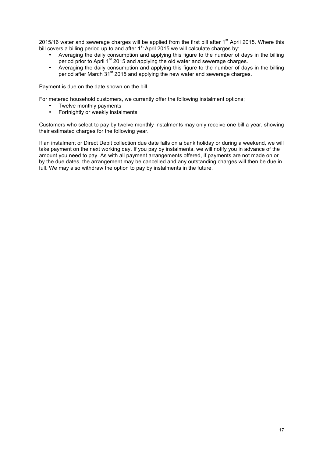2015/16 water and sewerage charges will be applied from the first bill after 1<sup>st</sup> April 2015. Where this bill covers a billing period up to and after  $1<sup>st</sup>$  April 2015 we will calculate charges by:

- Averaging the daily consumption and applying this figure to the number of days in the billing period prior to April 1<sup>st</sup> 2015 and applying the old water and sewerage charges.
- Averaging the daily consumption and applying this figure to the number of days in the billing period after March 31<sup>st</sup> 2015 and applying the new water and sewerage charges.

Payment is due on the date shown on the bill.

For metered household customers, we currently offer the following instalment options;

- Twelve monthly payments<br>• Fortnightly or weekly install
- Fortnightly or weekly instalments

Customers who select to pay by twelve monthly instalments may only receive one bill a year, showing their estimated charges for the following year.

If an instalment or Direct Debit collection due date falls on a bank holiday or during a weekend, we will take payment on the next working day. If you pay by instalments, we will notify you in advance of the amount you need to pay. As with all payment arrangements offered, if payments are not made on or by the due dates, the arrangement may be cancelled and any outstanding charges will then be due in full. We may also withdraw the option to pay by instalments in the future.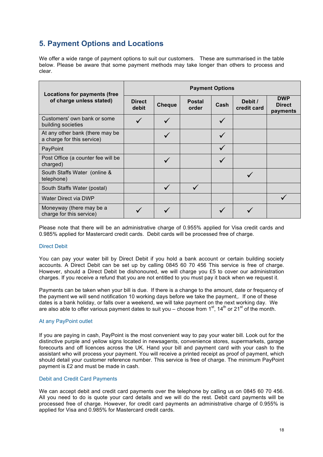# **5. Payment Options and Locations**

We offer a wide range of payment options to suit our customers. These are summarised in the table below. Please be aware that some payment methods may take longer than others to process and clear.

| <b>Locations for payments (free</b>                           | <b>Payment Options</b> |               |                        |      |                        |                                         |
|---------------------------------------------------------------|------------------------|---------------|------------------------|------|------------------------|-----------------------------------------|
| of charge unless stated)                                      | <b>Direct</b><br>debit | <b>Cheque</b> | <b>Postal</b><br>order | Cash | Debit /<br>credit card | <b>DWP</b><br><b>Direct</b><br>payments |
| Customers' own bank or some<br>building societies             |                        |               |                        |      |                        |                                         |
| At any other bank (there may be<br>a charge for this service) |                        |               |                        |      |                        |                                         |
| PayPoint                                                      |                        |               |                        |      |                        |                                         |
| Post Office (a counter fee will be<br>charged)                |                        |               |                        |      |                        |                                         |
| South Staffs Water (online &<br>telephone)                    |                        |               |                        |      |                        |                                         |
| South Staffs Water (postal)                                   |                        |               |                        |      |                        |                                         |
| Water Direct via DWP                                          |                        |               |                        |      |                        |                                         |
| Moneyway (there may be a<br>charge for this service)          |                        |               |                        |      |                        |                                         |

Please note that there will be an administrative charge of 0.955% applied for Visa credit cards and 0.985% applied for Mastercard credit cards. Debit cards will be processed free of charge.

#### Direct Debit

You can pay your water bill by Direct Debit if you hold a bank account or certain building society accounts. A Direct Debit can be set up by calling 0845 60 70 456 This service is free of charge. However, should a Direct Debit be dishonoured, we will charge you £5 to cover our administration charges. If you receive a refund that you are not entitled to you must pay it back when we request it.

Payments can be taken when your bill is due. If there is a change to the amount, date or frequency of the payment we will send notification 10 working days before we take the payment,. If one of these dates is a bank holiday, or falls over a weekend, we will take payment on the next working day. We are also able to offer various payment dates to suit you – choose from  $1<sup>st</sup>$ ,  $14<sup>th</sup>$  or 21<sup>st</sup> of the month.

#### At any PayPoint outlet

If you are paying in cash, PayPoint is the most convenient way to pay your water bill. Look out for the distinctive purple and yellow signs located in newsagents, convenience stores, supermarkets, garage forecourts and off licences across the UK. Hand your bill and payment card with your cash to the assistant who will process your payment. You will receive a printed receipt as proof of payment, which should detail your customer reference number. This service is free of charge. The minimum PayPoint payment is £2 and must be made in cash.

#### Debit and Credit Card Payments

We can accept debit and credit card payments over the telephone by calling us on 0845 60 70 456. All you need to do is quote your card details and we will do the rest. Debit card payments will be processed free of charge. However, for credit card payments an administrative charge of 0.955% is applied for Visa and 0.985% for Mastercard credit cards.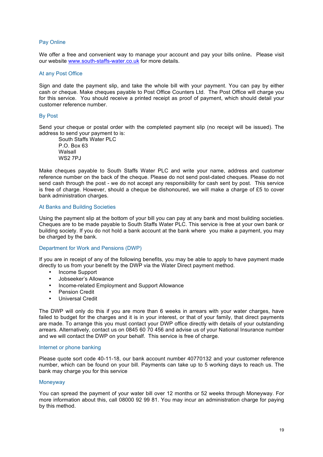#### Pay Online

We offer a free and convenient way to manage your account and pay your bills online**.** Please visit our website www.south-staffs-water.co.uk for more details.

#### At any Post Office

Sign and date the payment slip, and take the whole bill with your payment. You can pay by either cash or cheque. Make cheques payable to Post Office Counters Ltd. The Post Office will charge you for this service. You should receive a printed receipt as proof of payment, which should detail your customer reference number.

#### By Post

Send your cheque or postal order with the completed payment slip (no receipt will be issued). The address to send your payment to is:

South Staffs Water PLC P.O. Box 63 Walsall **WS2 7PJ** 

Make cheques payable to South Staffs Water PLC and write your name, address and customer reference number on the back of the cheque. Please do not send post-dated cheques. Please do not send cash through the post - we do not accept any responsibility for cash sent by post. This service is free of charge. However, should a cheque be dishonoured, we will make a charge of £5 to cover bank administration charges.

#### At Banks and Building Societies

Using the payment slip at the bottom of your bill you can pay at any bank and most building societies. Cheques are to be made payable to South Staffs Water PLC. This service is free at your own bank or building society. If you do not hold a bank account at the bank where you make a payment, you may be charged by the bank.

#### Department for Work and Pensions (DWP)

If you are in receipt of any of the following benefits, you may be able to apply to have payment made directly to us from your benefit by the DWP via the Water Direct payment method.

- Income Support
- Jobseeker's Allowance
- Income-related Employment and Support Allowance
- Pension Credit
- Universal Credit

The DWP will only do this if you are more than 6 weeks in arrears with your water charges, have failed to budget for the charges and it is in your interest, or that of your family, that direct payments are made. To arrange this you must contact your DWP office directly with details of your outstanding arrears. Alternatively, contact us on 0845 60 70 456 and advise us of your National Insurance number and we will contact the DWP on your behalf. This service is free of charge.

#### Internet or phone banking

Please quote sort code 40-11-18, our bank account number 40770132 and your customer reference number, which can be found on your bill. Payments can take up to 5 working days to reach us. The bank may charge you for this service

#### **Moneyway**

You can spread the payment of your water bill over 12 months or 52 weeks through Moneyway. For more information about this, call 08000 92 99 81. You may incur an administration charge for paying by this method.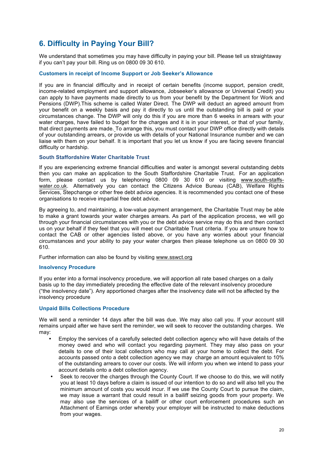# **6. Difficulty in Paying Your Bill?**

We understand that sometimes you may have difficulty in paying your bill. Please tell us straightaway if you can't pay your bill. Ring us on 0800 09 30 610.

#### **Customers in receipt of Income Support or Job Seeker's Allowance**

If you are in financial difficulty and in receipt of certain benefits (income support, pension credit, income-related employment and support allowance, Jobseeker's allowance or Universal Credit) you can apply to have payments made directly to us from your benefit by the Department for Work and Pensions (DWP).This scheme is called Water Direct. The DWP will deduct an agreed amount from your benefit on a weekly basis and pay it directly to us until the outstanding bill is paid or your circumstances change. The DWP will only do this if you are more than 6 weeks in arrears with your water charges, have failed to budget for the charges and it is in your interest, or that of your family, that direct payments are made. To arrange this, you must contact your DWP office directly with details of your outstanding arrears, or provide us with details of your National Insurance number and we can liaise with them on your behalf. It is important that you let us know if you are facing severe financial difficulty or hardship.

#### **South Staffordshire Water Charitable Trust**

If you are experiencing extreme financial difficulties and water is amongst several outstanding debts then you can make an application to the South Staffordshire Charitable Trust. For an application form, please contact us by telephoning 0800 09 30 610 or visiting www.south-staffswater.co.uk. Alternatively you can contact the Citizens Advice Bureau (CAB), Welfare Rights Services, Stepchange or other free debt advice agencies. It is recommended you contact one of these organisations to receive impartial free debt advice.

By agreeing to, and maintaining, a low-value payment arrangement, the Charitable Trust may be able to make a grant towards your water charges arrears. As part of the application process, we will go through your financial circumstances with you or the debt advice service may do this and then contact us on your behalf if they feel that you will meet our Charitable Trust criteria. If you are unsure how to contact the CAB or other agencies listed above, or you have any worries about your financial circumstances and your ability to pay your water charges then please telephone us on 0800 09 30 610.

Further information can also be found by visiting www.sswct.org

#### **Insolvency Procedure**

If you enter into a formal insolvency procedure, we will apportion all rate based charges on a daily basis up to the day immediately preceding the effective date of the relevant insolvency procedure ("the insolvency date"). Any apportioned charges after the insolvency date will not be affected by the insolvency procedure

#### **Unpaid Bills Collections Procedure**

We will send a reminder 14 days after the bill was due. We may also call you. If your account still remains unpaid after we have sent the reminder, we will seek to recover the outstanding charges. We may:

- Employ the services of a carefully selected debt collection agency who will have details of the money owed and who will contact you regarding payment. They may also pass on your details to one of their local collectors who may call at your home to collect the debt. For accounts passed onto a debt collection agency we may charge an amount equivalent to 10% of the outstanding arrears to cover our costs. We will inform you when we intend to pass your account details onto a debt collection agency.
- Seek to recover the charges through the County Court. If we choose to do this, we will notify you at least 10 days before a claim is issued of our intention to do so and will also tell you the minimum amount of costs you would incur. If we use the County Court to pursue the claim, we may issue a warrant that could result in a bailiff seizing goods from your property. We may also use the services of a bailiff or other court enforcement procedures such an Attachment of Earnings order whereby your employer will be instructed to make deductions from your wages.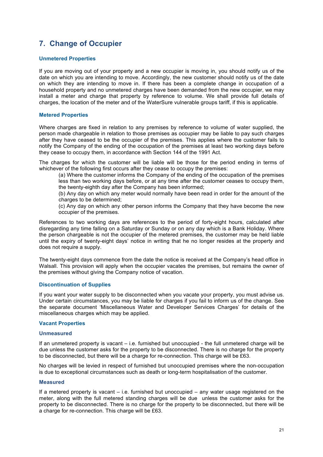# **7. Change of Occupier**

#### **Unmetered Properties**

If you are moving out of your property and a new occupier is moving in, you should notify us of the date on which you are intending to move. Accordingly, the new customer should notify us of the date on which they are intending to move in. If there has been a complete change in occupation of a household property and no unmetered charges have been demanded from the new occupier, we may install a meter and charge that property by reference to volume. We shall provide full details of charges, the location of the meter and of the WaterSure vulnerable groups tariff, if this is applicable.

#### **Metered Properties**

Where charges are fixed in relation to any premises by reference to volume of water supplied, the person made chargeable in relation to those premises as occupier may be liable to pay such charges after they have ceased to be the occupier of the premises. This applies where the customer fails to notify the Company of the ending of the occupation of the premises at least two working days before they cease to occupy them, in accordance with Section 144 of the 1991 Act.

The charges for which the customer will be liable will be those for the period ending in terms of whichever of the following first occurs after they cease to occupy the premises:

(a) Where the customer informs the Company of the ending of the occupation of the premises less than two working days before, or at any time after the customer ceases to occupy them, the twenty-eighth day after the Company has been informed;

(b) Any day on which any meter would normally have been read in order for the amount of the charges to be determined;

(c) Any day on which any other person informs the Company that they have become the new occupier of the premises.

References to two working days are references to the period of forty-eight hours, calculated after disregarding any time falling on a Saturday or Sunday or on any day which is a Bank Holiday. Where the person chargeable is not the occupier of the metered premises, the customer may be held liable until the expiry of twenty-eight days' notice in writing that he no longer resides at the property and does not require a supply.

The twenty-eight days commence from the date the notice is received at the Company's head office in Walsall. This provision will apply when the occupier vacates the premises, but remains the owner of the premises without giving the Company notice of vacation.

#### **Discontinuation of Supplies**

If you want your water supply to be disconnected when you vacate your property, you must advise us. Under certain circumstances, you may be liable for charges if you fail to inform us of the change. See the separate document 'Miscellaneous Water and Developer Services Charges' for details of the miscellaneous charges which may be applied.

#### **Vacant Properties**

#### **Unmeasured**

If an unmetered property is vacant – i.e. furnished but unoccupied - the full unmetered charge will be due unless the customer asks for the property to be disconnected. There is no charge for the property to be disconnected, but there will be a charge for re-connection. This charge will be £63.

No charges will be levied in respect of furnished but unoccupied premises where the non-occupation is due to exceptional circumstances such as death or long-term hospitalisation of the customer.

#### **Measured**

If a metered property is vacant  $-$  i.e. furnished but unoccupied  $-$  any water usage registered on the meter, along with the full metered standing charges will be due unless the customer asks for the property to be disconnected. There is no charge for the property to be disconnected, but there will be a charge for re-connection. This charge will be £63.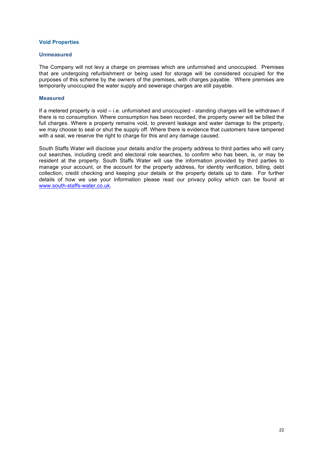#### **Void Properties**

#### **Unmeasured**

The Company will not levy a charge on premises which are unfurnished and unoccupied. Premises that are undergoing refurbishment or being used for storage will be considered occupied for the purposes of this scheme by the owners of the premises, with charges payable. Where premises are temporarily unoccupied the water supply and sewerage charges are still payable.

#### **Measured**

If a metered property is void – i.e. unfurnished and unoccupied - standing charges will be withdrawn if there is no consumption. Where consumption has been recorded, the property owner will be billed the full charges. Where a property remains void, to prevent leakage and water damage to the property, we may choose to seal or shut the supply off. Where there is evidence that customers have tampered with a seal, we reserve the right to charge for this and any damage caused.

South Staffs Water will disclose your details and/or the property address to third parties who will carry out searches, including credit and electoral role searches, to confirm who has been, is, or may be resident at the property. South Staffs Water will use the information provided by third parties to manage your account, or the account for the property address, for identity verification, billing, debt collection, credit checking and keeping your details or the property details up to date. For further details of how we use your information please read our privacy policy which can be found at www.south-staffs-water.co.uk.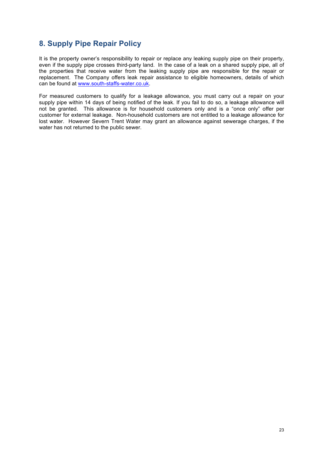### **8. Supply Pipe Repair Policy**

It is the property owner's responsibility to repair or replace any leaking supply pipe on their property, even if the supply pipe crosses third-party land. In the case of a leak on a shared supply pipe, all of the properties that receive water from the leaking supply pipe are responsible for the repair or replacement. The Company offers leak repair assistance to eligible homeowners, details of which can be found at www.south-staffs-water.co.uk.

For measured customers to qualify for a leakage allowance, you must carry out a repair on your supply pipe within 14 days of being notified of the leak. If you fail to do so, a leakage allowance will not be granted. This allowance is for household customers only and is a "once only" offer per customer for external leakage. Non-household customers are not entitled to a leakage allowance for lost water. However Severn Trent Water may grant an allowance against sewerage charges, if the water has not returned to the public sewer.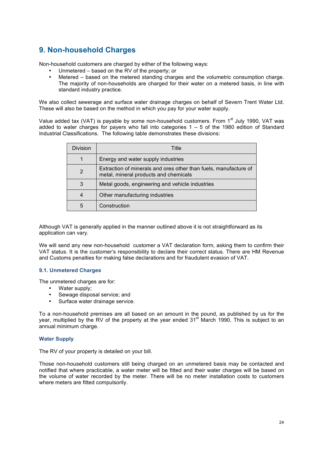# **9. Non-household Charges**

Non-household customers are charged by either of the following ways:

- Unmetered based on the RV of the property; or
- Metered based on the metered standing charges and the volumetric consumption charge. The majority of non-households are charged for their water on a metered basis, in line with standard industry practice.

We also collect sewerage and surface water drainage charges on behalf of Severn Trent Water Ltd. These will also be based on the method in which you pay for your water supply.

Value added tax (VAT) is payable by some non-household customers. From 1<sup>st</sup> July 1990, VAT was added to water charges for payers who fall into categories  $1 - 5$  of the 1980 edition of Standard Industrial Classifications. The following table demonstrates these divisions:

| Division | Title                                                                                                     |
|----------|-----------------------------------------------------------------------------------------------------------|
|          | Energy and water supply industries                                                                        |
| 2        | Extraction of minerals and ores other than fuels, manufacture of<br>metal, mineral products and chemicals |
| 3        | Metal goods, engineering and vehicle industries                                                           |
| 4        | Other manufacturing industries                                                                            |
| 5        | Construction                                                                                              |

Although VAT is generally applied in the manner outlined above it is not straightforward as its application can vary.

We will send any new non-household customer a VAT declaration form, asking them to confirm their VAT status. It is the customer's responsibility to declare their correct status. There are HM Revenue and Customs penalties for making false declarations and for fraudulent evasion of VAT.

#### **9.1. Unmetered Charges**

The unmetered charges are for:

- Water supply;
- Sewage disposal service; and
- Surface water drainage service.

To a non-household premises are all based on an amount in the pound, as published by us for the year, multiplied by the RV of the property at the year ended 31<sup>st</sup> March 1990. This is subject to an annual minimum charge.

#### **Water Supply**

The RV of your property is detailed on your bill.

Those non-household customers still being charged on an unmetered basis may be contacted and notified that where practicable, a water meter will be fitted and their water charges will be based on the volume of water recorded by the meter. There will be no meter installation costs to customers where meters are fitted compulsorily.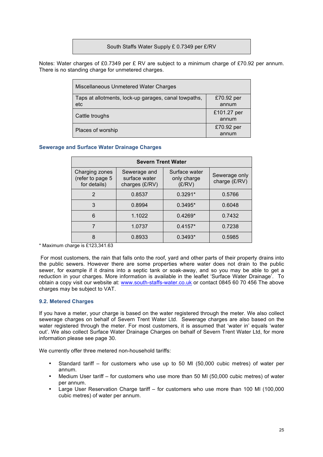#### South Staffs Water Supply £ 0.7349 per £/RV

Notes: Water charges of £0.7349 per £ RV are subject to a minimum charge of £70.92 per annum. There is no standing charge for unmetered charges.

| Miscellaneous Unmetered Water Charges                       |                      |
|-------------------------------------------------------------|----------------------|
| Taps at allotments, lock-up garages, canal towpaths,<br>etc | £70.92 per<br>annum  |
| Cattle troughs                                              | £101.27 per<br>annum |
| Places of worship                                           | £70.92 per<br>annum  |

#### **Sewerage and Surface Water Drainage Charges**

| <b>Severn Trent Water</b>                          |                                                 |                                        |                                |  |  |  |  |
|----------------------------------------------------|-------------------------------------------------|----------------------------------------|--------------------------------|--|--|--|--|
| Charging zones<br>(refer to page 5<br>for details) | Sewerage and<br>surface water<br>charges (£/RV) | Surface water<br>only charge<br>(E/RV) | Sewerage only<br>charge (£/RV) |  |  |  |  |
| $\mathcal{P}$                                      | 0.8537                                          | $0.3291*$                              | 0.5766                         |  |  |  |  |
| 3                                                  | 0.8994                                          | $0.3495*$                              | 0.6048                         |  |  |  |  |
| 6                                                  | 1.1022                                          | $0.4269*$                              | 0.7432                         |  |  |  |  |
|                                                    | 1.0737                                          | $0.4157*$                              | 0.7238                         |  |  |  |  |
| 8                                                  | 0.8933                                          | $0.3493*$                              | 0.5985                         |  |  |  |  |

\* Maximum charge is £123,341.63

For most customers, the rain that falls onto the roof, yard and other parts of their property drains into the public sewers. However there are some properties where water does not drain to the public sewer, for example if it drains into a septic tank or soak-away, and so you may be able to get a reduction in your charges. More information is available in the leaflet 'Surface Water Drainage'. To obtain a copy visit our website at: www.south-staffs-water.co.uk or contact 0845 60 70 456 The above charges may be subject to VAT.

#### **9.2. Metered Charges**

If you have a meter, your charge is based on the water registered through the meter. We also collect sewerage charges on behalf of Severn Trent Water Ltd. Sewerage charges are also based on the water registered through the meter. For most customers, it is assumed that 'water in' equals 'water out'. We also collect Surface Water Drainage Charges on behalf of Severn Trent Water Ltd, for more information please see page 30.

We currently offer three metered non-household tariffs:

- Standard tariff for customers who use up to 50 Ml (50,000 cubic metres) of water per annum.
- Medium User tariff for customers who use more than 50 Ml (50,000 cubic metres) of water per annum.
- Large User Reservation Charge tariff for customers who use more than 100 Ml (100,000 cubic metres) of water per annum.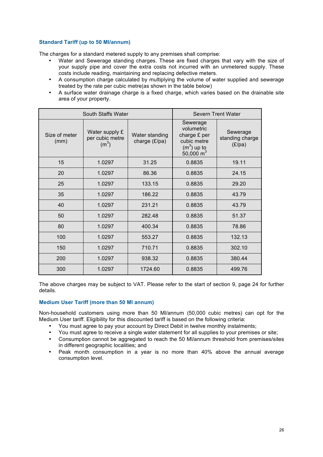#### **Standard Tariff (up to 50 Ml/annum)**

The charges for a standard metered supply to any premises shall comprise:

- Water and Sewerage standing charges. These are fixed charges that vary with the size of your supply pipe and cover the extra costs not incurred with an unmetered supply. These costs include reading, maintaining and replacing defective meters.
- A consumption charge calculated by multiplying the volume of water supplied and sewerage treated by the rate per cubic metre(as shown in the table below)
- A surface water drainage charge is a fixed charge, which varies based on the drainable site area of your property.

|                       | South Staffs Water                                     | <b>Severn Trent Water</b>       |                                                                                      |                                       |
|-----------------------|--------------------------------------------------------|---------------------------------|--------------------------------------------------------------------------------------|---------------------------------------|
| Size of meter<br>(mm) | Water supply £<br>per cubic metre<br>(m <sup>3</sup> ) | Water standing<br>charge (£/pa) | Sewerage<br>volumetric<br>charge £ per<br>cubic metre<br>$(m3)$ up to<br>50,000 $m3$ | Sewerage<br>standing charge<br>(E/pa) |
| 15                    | 1.0297                                                 | 31.25                           | 0.8835                                                                               | 19.11                                 |
| 20                    | 1.0297                                                 | 86.36                           | 0.8835                                                                               | 24.15                                 |
| 25                    | 1.0297                                                 | 133.15                          | 0.8835                                                                               | 29.20                                 |
| 35                    | 1.0297                                                 | 186.22                          | 0.8835                                                                               | 43.79                                 |
| 40                    | 1.0297                                                 | 231.21                          | 0.8835                                                                               | 43.79                                 |
| 50                    | 1.0297                                                 | 282.48                          | 0.8835                                                                               | 51.37                                 |
| 80                    | 1.0297                                                 | 400.34                          | 0.8835                                                                               | 78.86                                 |
| 100                   | 1.0297                                                 | 553.27                          | 0.8835                                                                               | 132.13                                |
| 150                   | 1.0297                                                 | 710.71                          | 0.8835                                                                               | 302.10                                |
| 200                   | 1.0297                                                 | 938.32                          | 0.8835                                                                               | 380.44                                |
| 300                   | 1.0297                                                 | 1724.60                         | 0.8835                                                                               | 499.76                                |

The above charges may be subject to VAT. Please refer to the start of section 9, page 24 for further details.

#### **Medium User Tariff (more than 50 Ml annum)**

Non-household customers using more than 50 Ml/annum (50,000 cubic metres) can opt for the Medium User tariff. Eligibility for this discounted tariff is based on the following criteria:

- You must agree to pay your account by Direct Debit in twelve monthly instalments;
- You must agree to receive a single water statement for all supplies to your premises or site;
- Consumption cannot be aggregated to reach the 50 Ml/annum threshold from premises/sites in different geographic localities; and
- Peak month consumption in a year is no more than 40% above the annual average consumption level.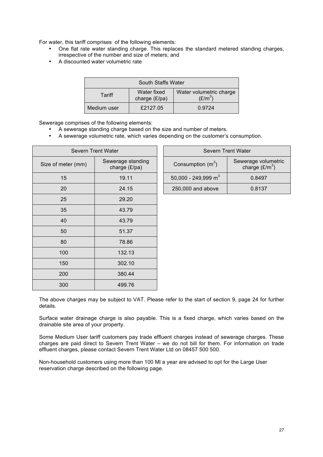For water, this tariff comprises of the following elements:

- One flat rate water standing charge. This replaces the standard metered standing charges, irrespective of the number and size of meters; and
- A discounted water volumetric rate

| South Staffs Water                                                             |          |        |  |  |  |
|--------------------------------------------------------------------------------|----------|--------|--|--|--|
| Water fixed<br>Water volumetric charge<br>Tariff<br>$(E/m^3)$<br>charge (£/pa) |          |        |  |  |  |
| Medium user                                                                    | £2127.05 | 0.9724 |  |  |  |

Sewerage comprises of the following elements:

- A sewerage standing charge based on the size and number of meters.
- A sewerage volumetric rate, which varies depending on the customer's consumption.

| Severn Trent Water |                                    |  |  |  |  |
|--------------------|------------------------------------|--|--|--|--|
| Size of meter (mm) | Sewerage standing<br>charge (£/pa) |  |  |  |  |
| 15                 | 19.11                              |  |  |  |  |
| 20                 | 24.15                              |  |  |  |  |
| 25                 | 29.20                              |  |  |  |  |
| 35                 | 43.79                              |  |  |  |  |
| 40                 | 43.79                              |  |  |  |  |
| 50                 | 51.37                              |  |  |  |  |
| 80                 | 78.86                              |  |  |  |  |
| 100                | 132.13                             |  |  |  |  |
| 150                | 302.10                             |  |  |  |  |
| 200                | 380.44                             |  |  |  |  |
| 300                | 499.76                             |  |  |  |  |

| Severn Trent Water                 |  | Severn Trent Water              |                                         |  |
|------------------------------------|--|---------------------------------|-----------------------------------------|--|
| Sewerage standing<br>charge (£/pa) |  | Consumption $(m^3)$             | Sewerage volumetric<br>charge $(E/m^3)$ |  |
| 19.11                              |  | 50,000 - 249,999 m <sup>3</sup> | 0.8497                                  |  |
| 24.15                              |  | 250,000 and above               | 0.8137                                  |  |
|                                    |  |                                 |                                         |  |

The above charges may be subject to VAT. Please refer to the start of section 9, page 24 for further details.

Surface water drainage charge is also payable. This is a fixed charge, which varies based on the drainable site area of your property.

Some Medium User tariff customers pay trade effluent charges instead of sewerage charges. These charges are paid direct to Severn Trent Water – we do not bill for them. For information on trade effluent charges, please contact Severn Trent Water Ltd on 08457 500 500.

Non-household customers using more than 100 Ml a year are advised to opt for the Large User reservation charge described on the following page.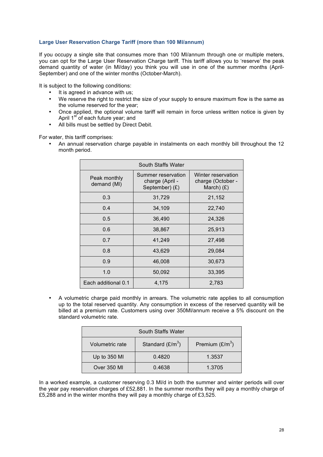#### **Large User Reservation Charge Tariff (more than 100 Ml/annum)**

If you occupy a single site that consumes more than 100 Ml/annum through one or multiple meters, you can opt for the Large User Reservation Charge tariff. This tariff allows you to 'reserve' the peak demand quantity of water (in Ml/day) you think you will use in one of the summer months (April-September) and one of the winter months (October-March).

It is subject to the following conditions:

- It is agreed in advance with us;
- We reserve the right to restrict the size of your supply to ensure maximum flow is the same as the volume reserved for the year;
- Once applied, the optional volume tariff will remain in force unless written notice is given by April 1<sup>st</sup> of each future year; and
- All bills must be settled by Direct Debit.

For water, this tariff comprises:

• An annual reservation charge payable in instalments on each monthly bill throughout the 12 month period.

| South Staffs Water          |                                                         |                                                         |  |  |  |  |
|-----------------------------|---------------------------------------------------------|---------------------------------------------------------|--|--|--|--|
| Peak monthly<br>demand (MI) | Summer reservation<br>charge (April -<br>September) (£) | Winter reservation<br>charge (October -<br>March) $(f)$ |  |  |  |  |
| 0.3                         | 31,729                                                  | 21,152                                                  |  |  |  |  |
| 0.4                         | 34,109                                                  | 22,740                                                  |  |  |  |  |
| 0.5                         | 36,490                                                  | 24,326                                                  |  |  |  |  |
| 0.6                         | 38,867                                                  | 25,913                                                  |  |  |  |  |
| 0.7                         | 41,249                                                  | 27,498                                                  |  |  |  |  |
| 0.8                         | 43,629                                                  | 29,084                                                  |  |  |  |  |
| 0.9                         | 46,008                                                  | 30,673                                                  |  |  |  |  |
| 1.0                         | 50,092                                                  | 33,395                                                  |  |  |  |  |
| Each additional 0.1         | 4,175                                                   | 2,783                                                   |  |  |  |  |

• A volumetric charge paid monthly in arrears. The volumetric rate applies to all consumption up to the total reserved quantity. Any consumption in excess of the reserved quantity will be billed at a premium rate. Customers using over 350Ml/annum receive a 5% discount on the standard volumetric rate.

| South Staffs Water                                         |        |        |  |  |  |
|------------------------------------------------------------|--------|--------|--|--|--|
| Standard $(E/m^3)$<br>Premium $(E/m^3)$<br>Volumetric rate |        |        |  |  |  |
| Up to 350 MI                                               | 0.4820 | 1.3537 |  |  |  |
| Over 350 MI                                                | 0.4638 | 1.3705 |  |  |  |

In a worked example, a customer reserving 0.3 Ml/d in both the summer and winter periods will over the year pay reservation charges of £52,881. In the summer months they will pay a monthly charge of £5,288 and in the winter months they will pay a monthly charge of £3,525.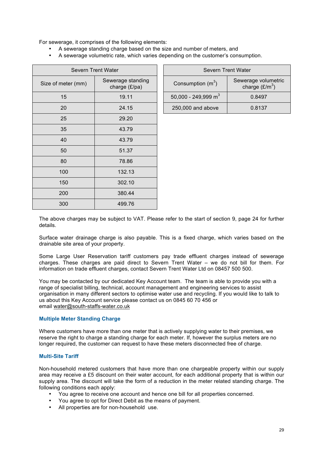For sewerage, it comprises of the following elements:

- A sewerage standing charge based on the size and number of meters, and
- A sewerage volumetric rate, which varies depending on the customer's consumption.

| <b>Severn Trent Water</b> |                                    |  |  |  |  |
|---------------------------|------------------------------------|--|--|--|--|
| Size of meter (mm)        | Sewerage standing<br>charge (£/pa) |  |  |  |  |
| 15                        | 19.11                              |  |  |  |  |
| 20                        | 24.15                              |  |  |  |  |
| 25                        | 29.20                              |  |  |  |  |
| 35                        | 43.79                              |  |  |  |  |
| 40                        | 43.79                              |  |  |  |  |
| 50                        | 51.37                              |  |  |  |  |
| 80                        | 78.86                              |  |  |  |  |
| 100                       | 132.13                             |  |  |  |  |
| 150                       | 302.10                             |  |  |  |  |
| 200                       | 380.44                             |  |  |  |  |
| 300                       | 499.76                             |  |  |  |  |

| Severn Trent Water |                                    | Severn Trent Water              |                                         |  |
|--------------------|------------------------------------|---------------------------------|-----------------------------------------|--|
| neter (mm)         | Sewerage standing<br>charge (£/pa) | Consumption $(m^3)$             | Sewerage volumetric<br>charge $(E/m^3)$ |  |
| 15                 | 19.11                              | 50,000 - 249,999 m <sup>3</sup> | 0.8497                                  |  |
| 20                 | 24.15                              | 250,000 and above               | 0.8137                                  |  |

The above charges may be subject to VAT. Please refer to the start of section 9, page 24 for further details.

Surface water drainage charge is also payable. This is a fixed charge, which varies based on the drainable site area of your property.

Some Large User Reservation tariff customers pay trade effluent charges instead of sewerage charges. These charges are paid direct to Severn Trent Water – we do not bill for them. For information on trade effluent charges, contact Severn Trent Water Ltd on 08457 500 500.

You may be contacted by our dedicated Key Account team. The team is able to provide you with a range of specialist billing, technical, account management and engineering services to assist organisation in many different sectors to optimise water use and recycling. If you would like to talk to us about this Key Account service please contact us on 0845 60 70 456 or email water@south-staffs-water.co.uk

#### **Multiple Meter Standing Charge**

Where customers have more than one meter that is actively supplying water to their premises, we reserve the right to charge a standing charge for each meter. If, however the surplus meters are no longer required, the customer can request to have these meters disconnected free of charge.

#### **Multi-Site Tariff**

Non-household metered customers that have more than one chargeable property within our supply area may receive a £5 discount on their water account, for each additional property that is within our supply area. The discount will take the form of a reduction in the meter related standing charge. The following conditions each apply:

- You agree to receive one account and hence one bill for all properties concerned.
- You agree to opt for Direct Debit as the means of payment.
- All properties are for non-household use.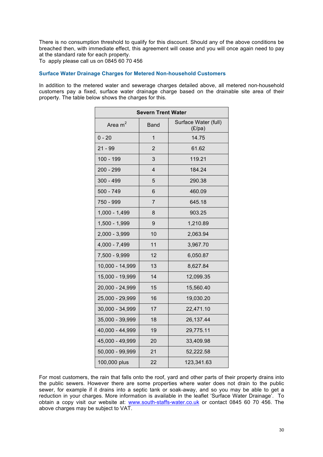There is no consumption threshold to qualify for this discount. Should any of the above conditions be breached then, with immediate effect, this agreement will cease and you will once again need to pay at the standard rate for each property.

To apply please call us on 0845 60 70 456

#### **Surface Water Drainage Charges for Metered Non-household Customers**

In addition to the metered water and sewerage charges detailed above, all metered non-household customers pay a fixed, surface water drainage charge based on the drainable site area of their property. The table below shows the charges for this.

| <b>Severn Trent Water</b> |                |                                |  |  |  |  |
|---------------------------|----------------|--------------------------------|--|--|--|--|
| Area $m2$                 | <b>Band</b>    | Surface Water (full)<br>(E/pa) |  |  |  |  |
| $0 - 20$                  | $\overline{1}$ | 14.75                          |  |  |  |  |
| $21 - 99$                 | $\overline{2}$ | 61.62                          |  |  |  |  |
| 100 - 199                 | 3              | 119.21                         |  |  |  |  |
| 200 - 299                 | $\overline{4}$ | 184.24                         |  |  |  |  |
| $300 - 499$               | 5              | 290.38                         |  |  |  |  |
| $500 - 749$               | 6              | 460.09                         |  |  |  |  |
| 750 - 999                 | $\overline{7}$ | 645.18                         |  |  |  |  |
| $1,000 - 1,499$           | 8              | 903.25                         |  |  |  |  |
| 1,500 - 1,999             | 9              | 1,210.89                       |  |  |  |  |
| 2,000 - 3,999             | 10             | 2,063.94                       |  |  |  |  |
| 4,000 - 7,499             | 11             | 3,967.70                       |  |  |  |  |
| 7,500 - 9,999             | 12             | 6,050.87                       |  |  |  |  |
| 10,000 - 14,999           | 13             | 8,627.84                       |  |  |  |  |
| 15,000 - 19,999           | 14             | 12,099.35                      |  |  |  |  |
| 20,000 - 24,999           | 15             | 15,560.40                      |  |  |  |  |
| 25,000 - 29,999           | 16             | 19,030.20                      |  |  |  |  |
| 30,000 - 34,999           | 17             | 22,471.10                      |  |  |  |  |
| 35,000 - 39,999           | 18             | 26,137.44                      |  |  |  |  |
| 40,000 - 44,999           | 19             | 29,775.11                      |  |  |  |  |
| 45,000 - 49,999           | 20             | 33,409.98                      |  |  |  |  |
| 50,000 - 99,999           | 21             | 52,222.58                      |  |  |  |  |
| 100,000 plus              | 22             | 123,341.63                     |  |  |  |  |

For most customers, the rain that falls onto the roof, yard and other parts of their property drains into the public sewers. However there are some properties where water does not drain to the public sewer, for example if it drains into a septic tank or soak-away, and so you may be able to get a reduction in your charges. More information is available in the leaflet 'Surface Water Drainage'. To obtain a copy visit our website at: www.south-staffs-water.co.uk or contact 0845 60 70 456. The above charges may be subject to VAT.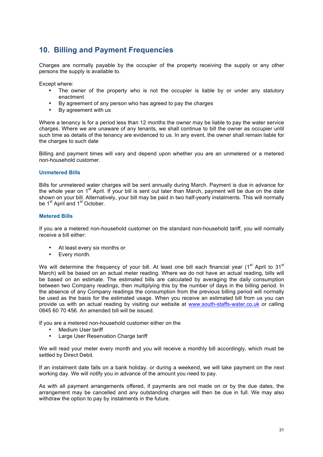### **10. Billing and Payment Frequencies**

Charges are normally payable by the occupier of the property receiving the supply or any other persons the supply is available to.

Except where:

- The owner of the property who is not the occupier is liable by or under any statutory enactment
- By agreement of any person who has agreed to pay the charges
- By agreement with us

Where a tenancy is for a period less than 12 months the owner may be liable to pay the water service charges. Where we are unaware of any tenants, we shall continue to bill the owner as occupier until such time as details of the tenancy are evidenced to us. In any event, the owner shall remain liable for the charges to such date

Billing and payment times will vary and depend upon whether you are an unmetered or a metered non-household customer.

#### **Unmetered Bills**

Bills for unmetered water charges will be sent annually during March. Payment is due in advance for the whole year on 1<sup>st</sup> April. If your bill is sent out later than March, payment will be due on the date shown on your bill. Alternatively, your bill may be paid in two half-yearly instalments. This will normally be 1<sup>st</sup> April and 1<sup>st</sup> October.

#### **Metered Bills**

If you are a metered non-household customer on the standard non-household tariff, you will normally receive a bill either:

- At least every six months or
- Every month.

We will determine the frequency of your bill. At least one bill each financial year ( $1<sup>st</sup>$  April to  $31<sup>st</sup>$ March) will be based on an actual meter reading. Where we do not have an actual reading, bills will be based on an estimate. The estimated bills are calculated by averaging the daily consumption between two Company readings, then multiplying this by the number of days in the billing period. In the absence of any Company readings the consumption from the previous billing period will normally be used as the basis for the estimated usage. When you receive an estimated bill from us you can provide us with an actual reading by visiting our website at www.south-staffs-water.co.uk or calling 0845 60 70 456. An amended bill will be issued.

If you are a metered non-household customer either on the

- Medium User tariff<br>• Large User Resery
- Large User Reservation Charge tariff

We will read your meter every month and you will receive a monthly bill accordingly, which must be settled by Direct Debit.

If an instalment date falls on a bank holiday, or during a weekend, we will take payment on the next working day. We will notify you in advance of the amount you need to pay.

As with all payment arrangements offered, if payments are not made on or by the due dates, the arrangement may be cancelled and any outstanding charges will then be due in full. We may also withdraw the option to pay by instalments in the future.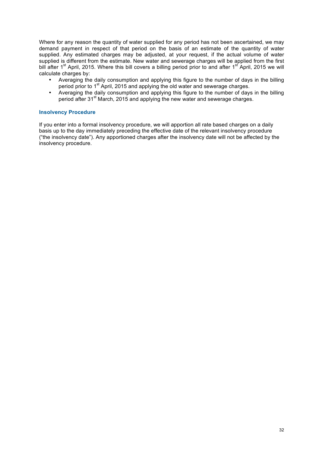Where for any reason the quantity of water supplied for any period has not been ascertained, we may demand payment in respect of that period on the basis of an estimate of the quantity of water supplied. Any estimated charges may be adjusted, at your request, if the actual volume of water supplied is different from the estimate. New water and sewerage charges will be applied from the first bill after 1<sup>st</sup> April, 2015. Where this bill covers a billing period prior to and after 1<sup>st</sup> April, 2015 we will calculate charges by:

- Averaging the daily consumption and applying this figure to the number of days in the billing period prior to 1<sup>st</sup> April, 2015 and applying the old water and sewerage charges.
- Averaging the daily consumption and applying this figure to the number of days in the billing period after 31<sup>st</sup> March, 2015 and applying the new water and sewerage charges.

#### **Insolvency Procedure**

If you enter into a formal insolvency procedure, we will apportion all rate based charges on a daily basis up to the day immediately preceding the effective date of the relevant insolvency procedure ("the insolvency date"). Any apportioned charges after the insolvency date will not be affected by the insolvency procedure.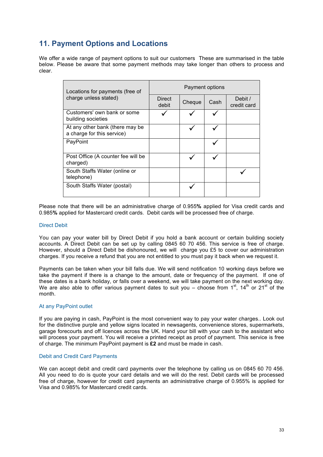### **11. Payment Options and Locations**

We offer a wide range of payment options to suit our customers These are summarised in the table below. Please be aware that some payment methods may take longer than others to process and clear.

| Locations for payments (free of                               | Payment options |        |      |                        |  |
|---------------------------------------------------------------|-----------------|--------|------|------------------------|--|
| charge unless stated)                                         | Direct<br>debit | Cheque | Cash | Debit /<br>credit card |  |
| Customers' own bank or some<br>building societies             |                 |        |      |                        |  |
| At any other bank (there may be<br>a charge for this service) |                 |        |      |                        |  |
| PayPoint                                                      |                 |        |      |                        |  |
| Post Office (A counter fee will be<br>charged)                |                 |        |      |                        |  |
| South Staffs Water (online or<br>telephone)                   |                 |        |      |                        |  |
| South Staffs Water (postal)                                   |                 |        |      |                        |  |

Please note that there will be an administrative charge of 0.955**%** applied for Visa credit cards and 0.985**%** applied for Mastercard credit cards. Debit cards will be processed free of charge.

#### Direct Debit

You can pay your water bill by Direct Debit if you hold a bank account or certain building society accounts. A Direct Debit can be set up by calling 0845 60 70 456. This service is free of charge. However, should a Direct Debit be dishonoured, we will charge you £5 to cover our administration charges. If you receive a refund that you are not entitled to you must pay it back when we request it.

Payments can be taken when your bill falls due. We will send notification 10 working days before we take the payment if there is a change to the amount, date or frequency of the payment. If one of these dates is a bank holiday, or falls over a weekend, we will take payment on the next working day. We are also able to offer various payment dates to suit you – choose from  $1<sup>st</sup>$ ,  $14<sup>th</sup>$  or  $21<sup>st</sup>$  of the month.

#### At any PayPoint outlet

If you are paying in cash, PayPoint is the most convenient way to pay your water charges.. Look out for the distinctive purple and yellow signs located in newsagents, convenience stores, supermarkets, garage forecourts and off licences across the UK. Hand your bill with your cash to the assistant who will process your payment. You will receive a printed receipt as proof of payment. This service is free of charge. The minimum PayPoint payment is **£2** and must be made in cash.

#### Debit and Credit Card Payments

We can accept debit and credit card payments over the telephone by calling us on 0845 60 70 456. All you need to do is quote your card details and we will do the rest. Debit cards will be processed free of charge, however for credit card payments an administrative charge of 0.955% is applied for Visa and 0.985% for Mastercard credit cards.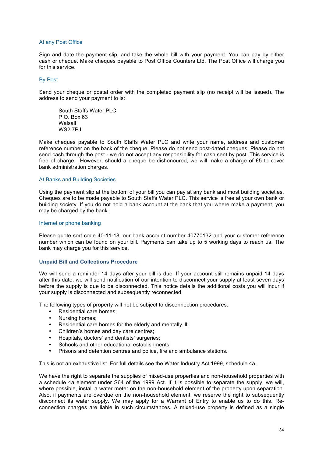#### At any Post Office

Sign and date the payment slip, and take the whole bill with your payment. You can pay by either cash or cheque. Make cheques payable to Post Office Counters Ltd. The Post Office will charge you for this service.

#### By Post

Send your cheque or postal order with the completed payment slip (no receipt will be issued). The address to send your payment to is:

South Staffs Water PLC  $P$   $\bigcap$  Box 63 Walsall **WS2 7PJ** 

Make cheques payable to South Staffs Water PLC and write your name, address and customer reference number on the back of the cheque. Please do not send post-dated cheques. Please do not send cash through the post - we do not accept any responsibility for cash sent by post. This service is free of charge. However, should a cheque be dishonoured, we will make a charge of £5 to cover bank administration charges.

#### At Banks and Building Societies

Using the payment slip at the bottom of your bill you can pay at any bank and most building societies. Cheques are to be made payable to South Staffs Water PLC. This service is free at your own bank or building society. If you do not hold a bank account at the bank that you where make a payment, you may be charged by the bank.

#### Internet or phone banking

Please quote sort code 40-11-18, our bank account number 40770132 and your customer reference number which can be found on your bill. Payments can take up to 5 working days to reach us. The bank may charge you for this service.

#### **Unpaid Bill and Collections Procedure**

We will send a reminder 14 days after your bill is due. If your account still remains unpaid 14 days after this date, we will send notification of our intention to disconnect your supply at least seven days before the supply is due to be disconnected. This notice details the additional costs you will incur if your supply is disconnected and subsequently reconnected.

The following types of property will not be subject to disconnection procedures:

- Residential care homes;
- Nursing homes;<br>• Pesidential care
- Residential care homes for the elderly and mentally ill;
- Children's homes and day care centres;
- Hospitals, doctors' and dentists' surgeries;
- Schools and other educational establishments:
- Prisons and detention centres and police, fire and ambulance stations.

This is not an exhaustive list. For full details see the Water Industry Act 1999, schedule 4a.

We have the right to separate the supplies of mixed-use properties and non-household properties with a schedule 4a element under S64 of the 1999 Act. If it is possible to separate the supply, we will, where possible, install a water meter on the non-household element of the property upon separation. Also, if payments are overdue on the non-household element, we reserve the right to subsequently disconnect its water supply. We may apply for a Warrant of Entry to enable us to do this. Reconnection charges are liable in such circumstances. A mixed-use property is defined as a single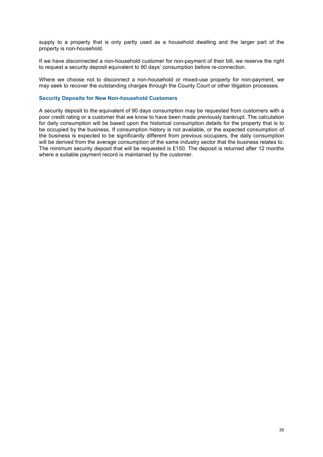supply to a property that is only partly used as a household dwelling and the larger part of the property is non-household.

If we have disconnected a non-household customer for non-payment of their bill, we reserve the right to request a security deposit equivalent to 90 days' consumption before re-connection.

Where we choose not to disconnect a non-household or mixed-use property for non-payment, we may seek to recover the outstanding charges through the County Court or other litigation processes.

#### **Security Deposits for New Non-household Customers**

A security deposit to the equivalent of 90 days consumption may be requested from customers with a poor credit rating or a customer that we know to have been made previously bankrupt. The calculation for daily consumption will be based upon the historical consumption details for the property that is to be occupied by the business. If consumption history is not available, or the expected consumption of the business is expected to be significantly different from previous occupiers, the daily consumption will be derived from the average consumption of the same industry sector that the business relates to. The minimum security deposit that will be requested is £150. The deposit is returned after 12 months where a suitable payment record is maintained by the customer.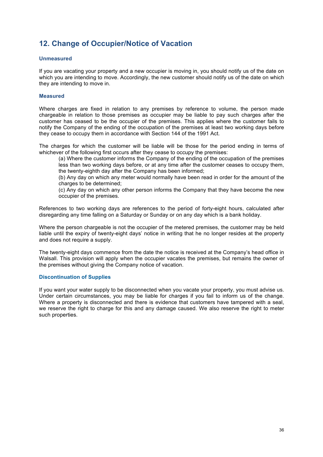### **12. Change of Occupier/Notice of Vacation**

#### **Unmeasured**

If you are vacating your property and a new occupier is moving in, you should notify us of the date on which you are intending to move. Accordingly, the new customer should notify us of the date on which they are intending to move in.

#### **Measured**

Where charges are fixed in relation to any premises by reference to volume, the person made chargeable in relation to those premises as occupier may be liable to pay such charges after the customer has ceased to be the occupier of the premises. This applies where the customer fails to notify the Company of the ending of the occupation of the premises at least two working days before they cease to occupy them in accordance with Section 144 of the 1991 Act.

The charges for which the customer will be liable will be those for the period ending in terms of whichever of the following first occurs after they cease to occupy the premises:

(a) Where the customer informs the Company of the ending of the occupation of the premises less than two working days before, or at any time after the customer ceases to occupy them, the twenty-eighth day after the Company has been informed;

(b) Any day on which any meter would normally have been read in order for the amount of the charges to be determined;

(c) Any day on which any other person informs the Company that they have become the new occupier of the premises.

References to two working days are references to the period of forty-eight hours, calculated after disregarding any time falling on a Saturday or Sunday or on any day which is a bank holiday.

Where the person chargeable is not the occupier of the metered premises, the customer may be held liable until the expiry of twenty-eight days' notice in writing that he no longer resides at the property and does not require a supply.

The twenty-eight days commence from the date the notice is received at the Company's head office in Walsall. This provision will apply when the occupier vacates the premises, but remains the owner of the premises without giving the Company notice of vacation.

#### **Discontinuation of Supplies**

If you want your water supply to be disconnected when you vacate your property, you must advise us. Under certain circumstances, you may be liable for charges if you fail to inform us of the change. Where a property is disconnected and there is evidence that customers have tampered with a seal, we reserve the right to charge for this and any damage caused. We also reserve the right to meter such properties.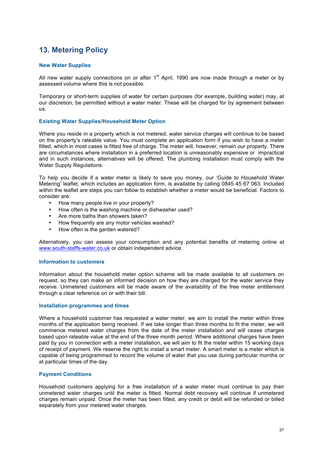# **13. Metering Policy**

#### **New Water Supplies**

All new water supply connections on or after  $1<sup>st</sup>$  April, 1990 are now made through a meter or by assessed volume where this is not possible.

Temporary or short-term supplies of water for certain purposes (for example, building water) may, at our discretion, be permitted without a water meter. These will be charged for by agreement between us.

#### **Existing Water Supplies/Household Meter Option**

Where you reside in a property which is not metered, water service charges will continue to be based on the property's rateable value. You must complete an application form if you wish to have a meter fitted, which in most cases is fitted free of charge. The meter will, however, remain our property. There are circumstances where installation in a preferred location is unreasonably expensive or impractical and in such instances, alternatives will be offered. The plumbing installation must comply with the Water Supply Regulations.

To help you decide if a water meter is likely to save you money, our 'Guide to Household Water Metering' leaflet, which includes an application form, is available by calling 0845 45 67 063. Included within the leaflet are steps you can follow to establish whether a meter would be beneficial. Factors to consider are:

- How many people live in your property?
- How often is the washing machine or dishwasher used?
- Are more baths than showers taken?
- How frequently are any motor vehicles washed?
- How often is the garden watered?

Alternatively, you can assess your consumption and any potential benefits of metering online at www.south-staffs-water.co.uk or obtain independent advice.

#### **Information to customers**

Information about the household meter option scheme will be made available to all customers on request, so they can make an informed decision on how they are charged for the water service they receive. Unmetered customers will be made aware of the availability of the free meter entitlement through a clear reference on or with their bill.

#### **Installation programmes and times**

Where a household customer has requested a water meter, we aim to install the meter within three months of the application being received. If we take longer than three months to fit the meter, we will commence metered water charges from the date of the meter installation and will cease charges based upon rateable value at the end of the three month period. Where additional charges have been paid by you in connection with a meter installation, we will aim to fit the meter within 15 working days of receipt of payment. We reserve the right to install a smart meter. A smart meter is a meter which is capable of being programmed to record the volume of water that you use during particular months or at particular times of the day.

#### **Payment Conditions**

Household customers applying for a free installation of a water meter must continue to pay their unmetered water charges until the meter is fitted. Normal debt recovery will continue if unmetered charges remain unpaid. Once the meter has been fitted, any credit or debit will be refunded or billed separately from your metered water charges.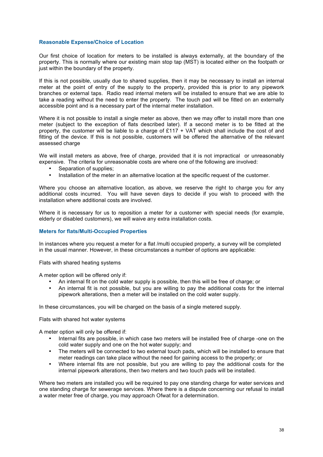#### **Reasonable Expense/Choice of Location**

Our first choice of location for meters to be installed is always externally, at the boundary of the property. This is normally where our existing main stop tap (MST) is located either on the footpath or just within the boundary of the property.

If this is not possible, usually due to shared supplies, then it may be necessary to install an internal meter at the point of entry of the supply to the property, provided this is prior to any pipework branches or external taps. Radio read internal meters will be installed to ensure that we are able to take a reading without the need to enter the property. The touch pad will be fitted on an externally accessible point and is a necessary part of the internal meter installation.

Where it is not possible to install a single meter as above, then we may offer to install more than one meter (subject to the exception of flats described later). If a second meter is to be fitted at the property, the customer will be liable to a charge of £117 + VAT which shall include the cost of and fitting of the device. If this is not possible, customers will be offered the alternative of the relevant assessed charge

We will install meters as above, free of charge, provided that it is not impractical or unreasonably expensive. The criteria for unreasonable costs are where one of the following are involved:

- Separation of supplies;
- Installation of the meter in an alternative location at the specific request of the customer.

Where you choose an alternative location, as above, we reserve the right to charge you for any additional costs incurred. You will have seven days to decide if you wish to proceed with the installation where additional costs are involved.

Where it is necessary for us to reposition a meter for a customer with special needs (for example, elderly or disabled customers), we will waive any extra installation costs.

#### **Meters for flats/Multi-Occupied Properties**

In instances where you request a meter for a flat /multi occupied property, a survey will be completed in the usual manner. However, in these circumstances a number of options are applicable:

Flats with shared heating systems

A meter option will be offered only if:

- An internal fit on the cold water supply is possible, then this will be free of charge; or
- An internal fit is not possible, but you are willing to pay the additional costs for the internal pipework alterations, then a meter will be installed on the cold water supply.

In these circumstances, you will be charged on the basis of a single metered supply.

Flats with shared hot water systems

A meter option will only be offered if:

- Internal fits are possible, in which case two meters will be installed free of charge -one on the cold water supply and one on the hot water supply; and
- The meters will be connected to two external touch pads, which will be installed to ensure that meter readings can take place without the need for gaining access to the property; or
- Where internal fits are not possible, but you are willing to pay the additional costs for the internal pipework alterations, then two meters and two touch pads will be installed.

Where two meters are installed you will be required to pay one standing charge for water services and one standing charge for sewerage services. Where there is a dispute concerning our refusal to install a water meter free of charge, you may approach Ofwat for a determination.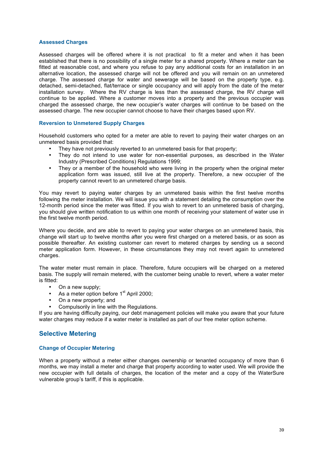#### **Assessed Charges**

Assessed charges will be offered where it is not practical to fit a meter and when it has been established that there is no possibility of a single meter for a shared property. Where a meter can be fitted at reasonable cost, and where you refuse to pay any additional costs for an installation in an alternative location, the assessed charge will not be offered and you will remain on an unmetered charge. The assessed charge for water and sewerage will be based on the property type, e.g. detached, semi-detached, flat/terrace or single occupancy and will apply from the date of the meter installation survey. Where the RV charge is less than the assessed charge, the RV charge will continue to be applied. Where a customer moves into a property and the previous occupier was charged the assessed charge, the new occupier's water charges will continue to be based on the assessed charge. The new occupier cannot choose to have their charges based upon RV.

#### **Reversion to Unmetered Supply Charges**

Household customers who opted for a meter are able to revert to paying their water charges on an unmetered basis provided that:

- They have not previously reverted to an unmetered basis for that property;
- They do not intend to use water for non-essential purposes, as described in the Water Industry (Prescribed Conditions) Regulations 1999;
- They or a member of the household who were living in the property when the original meter application form was issued, still live at the property. Therefore, a new occupier of the property cannot revert to an unmetered charge basis.

You may revert to paying water charges by an unmetered basis within the first twelve months following the meter installation. We will issue you with a statement detailing the consumption over the 12-month period since the meter was fitted. If you wish to revert to an unmetered basis of charging, you should give written notification to us within one month of receiving your statement of water use in the first twelve month period.

Where you decide, and are able to revert to paying your water charges on an unmetered basis, this change will start up to twelve months after you were first charged on a metered basis, or as soon as possible thereafter. An existing customer can revert to metered charges by sending us a second meter application form. However, in these circumstances they may not revert again to unmetered charges.

The water meter must remain in place. Therefore, future occupiers will be charged on a metered basis. The supply will remain metered, with the customer being unable to revert, where a water meter is fitted:

- On a new supply;
- As a meter option before  $1<sup>st</sup>$  April 2000;
- On a new property; and
- Compulsorily in line with the Regulations.

If you are having difficulty paying, our debt management policies will make you aware that your future water charges may reduce if a water meter is installed as part of our free meter option scheme.

#### **Selective Metering**

#### **Change of Occupier Metering**

When a property without a meter either changes ownership or tenanted occupancy of more than 6 months, we may install a meter and charge that property according to water used. We will provide the new occupier with full details of charges, the location of the meter and a copy of the WaterSure vulnerable group's tariff, if this is applicable.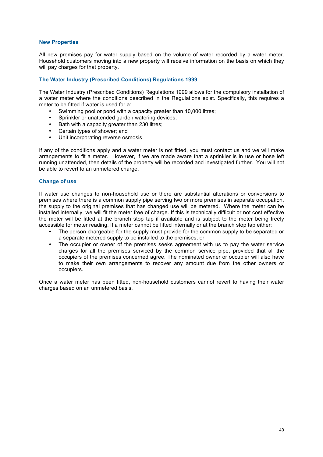#### **New Properties**

All new premises pay for water supply based on the volume of water recorded by a water meter. Household customers moving into a new property will receive information on the basis on which they will pay charges for that property.

#### **The Water Industry (Prescribed Conditions) Regulations 1999**

The Water Industry (Prescribed Conditions) Regulations 1999 allows for the compulsory installation of a water meter where the conditions described in the Regulations exist. Specifically, this requires a meter to be fitted if water is used for a:

- Swimming pool or pond with a capacity greater than 10,000 litres;
- Sprinkler or unattended garden watering devices;
- Bath with a capacity greater than 230 litres;
- Certain types of shower; and
- Unit incorporating reverse osmosis.

If any of the conditions apply and a water meter is not fitted, you must contact us and we will make arrangements to fit a meter. However, if we are made aware that a sprinkler is in use or hose left running unattended, then details of the property will be recorded and investigated further. You will not be able to revert to an unmetered charge.

#### **Change of use**

If water use changes to non-household use or there are substantial alterations or conversions to premises where there is a common supply pipe serving two or more premises in separate occupation, the supply to the original premises that has changed use will be metered. Where the meter can be installed internally, we will fit the meter free of charge. If this is technically difficult or not cost effective the meter will be fitted at the branch stop tap if available and is subject to the meter being freely accessible for meter reading. If a meter cannot be fitted internally or at the branch stop tap either:

- The person chargeable for the supply must provide for the common supply to be separated or a separate metered supply to be installed to the premises; or
- The occupier or owner of the premises seeks agreement with us to pay the water service charges for all the premises serviced by the common service pipe, provided that all the occupiers of the premises concerned agree. The nominated owner or occupier will also have to make their own arrangements to recover any amount due from the other owners or occupiers.

Once a water meter has been fitted, non-household customers cannot revert to having their water charges based on an unmetered basis.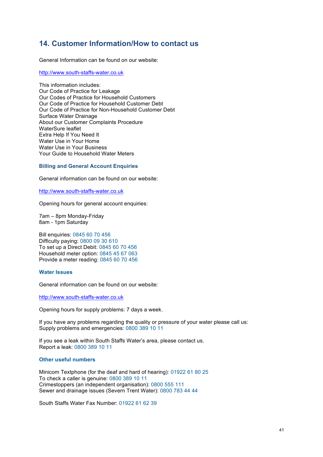### **14. Customer Information/How to contact us**

General Information can be found on our website:

http://www.south-staffs-water.co.uk

This information includes: Our Code of Practice for Leakage Our Codes of Practice for Household Customers Our Code of Practice for Household Customer Debt Our Code of Practice for Non-Household Customer Debt Surface Water Drainage About our Customer Complaints Procedure WaterSure leaflet Extra Help If You Need It Water Use in Your Home Water Use in Your Business Your Guide to Household Water Meters

#### **Billing and General Account Enquiries**

General information can be found on our website:

http://www.south-staffs-water.co.uk

Opening hours for general account enquiries:

7am – 8pm Monday-Friday 8am - 1pm Saturday

Bill enquiries: 0845 60 70 456 Difficulty paying: 0800 09 30 610 To set up a Direct Debit: 0845 60 70 456 Household meter option: 0845 45 67 063 Provide a meter reading: 0845 60 70 456

#### **Water Issues**

General information can be found on our website:

http://www.south-staffs-water.co.uk

Opening hours for supply problems: 7 days a week.

If you have any problems regarding the quality or pressure of your water please call us: Supply problems and emergencies: 0800 389 10 11

If you see a leak within South Staffs Water's area, please contact us. Report a leak: 0800 389 10 11

#### **Other useful numbers**

Minicom Textphone (for the deaf and hard of hearing): 01922 61 80 25 To check a caller is genuine: 0800 389 10 11 Crimestoppers (an independent organisation): 0800 555 111 Sewer and drainage issues (Severn Trent Water): 0800 783 44 44

South Staffs Water Fax Number: 01922 61 62 39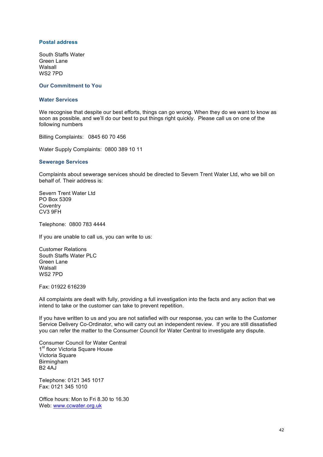#### **Postal address**

South Staffs Water Green Lane **Walsall** WS2 7PD

#### **Our Commitment to You**

#### **Water Services**

We recognise that despite our best efforts, things can go wrong. When they do we want to know as soon as possible, and we'll do our best to put things right quickly. Please call us on one of the following numbers

Billing Complaints: 0845 60 70 456

Water Supply Complaints: 0800 389 10 11

#### **Sewerage Services**

Complaints about sewerage services should be directed to Severn Trent Water Ltd, who we bill on behalf of. Their address is:

Severn Trent Water Ltd PO Box 5309 **Coventry** CV3 9FH

Telephone: 0800 783 4444

If you are unable to call us, you can write to us:

Customer Relations South Staffs Water PLC Green Lane Walsall WS2 7PD

Fax: 01922 616239

All complaints are dealt with fully, providing a full investigation into the facts and any action that we intend to take or the customer can take to prevent repetition.

If you have written to us and you are not satisfied with our response, you can write to the Customer Service Delivery Co-Ordinator, who will carry out an independent review. If you are still dissatisfied you can refer the matter to the Consumer Council for Water Central to investigate any dispute.

Consumer Council for Water Central 1<sup>st</sup> floor Victoria Square House Victoria Square **Birmingham** B2 4AJ

Telephone: 0121 345 1017 Fax: 0121 345 1010

Office hours: Mon to Fri 8.30 to 16.30 Web: www.ccwater.org.uk